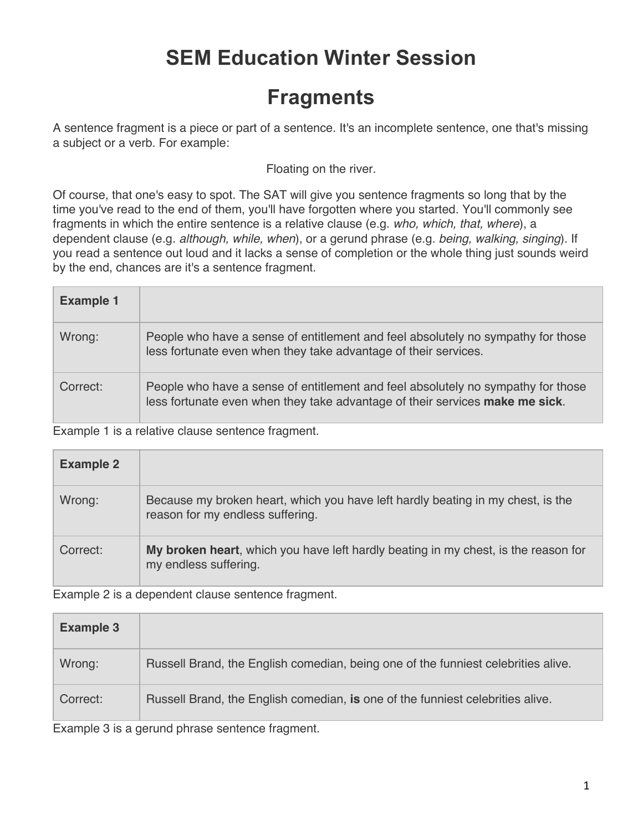## **SEM Education Winter Session**

## **Fragments**

A sentence fragment is a piece or part of a sentence. It's an incomplete sentence, one that's missing a subject or a verb. For example:

Floating on the river.

Of course, that one's easy to spot. The SAT will give you sentence fragments so long that by the time you've read to the end of them, you'll have forgotten where you started. You'll commonly see fragments in which the entire sentence is a relative clause (e.g. *who, which, that, where*), a dependent clause (e.g. *although, while, when*), or a gerund phrase (e.g. *being, walking, singing*). If you read a sentence out loud and it lacks a sense of completion or the whole thing just sounds weird by the end, chances are it's a sentence fragment.

| <b>Example 1</b> |                                                                                                                                                                  |
|------------------|------------------------------------------------------------------------------------------------------------------------------------------------------------------|
| Wrong:           | People who have a sense of entitlement and feel absolutely no sympathy for those<br>less fortunate even when they take advantage of their services.              |
| Correct:         | People who have a sense of entitlement and feel absolutely no sympathy for those<br>less fortunate even when they take advantage of their services make me sick. |

Example 1 is a relative clause sentence fragment.

| <b>Example 2</b> |                                                                                                                     |
|------------------|---------------------------------------------------------------------------------------------------------------------|
| Wrong:           | Because my broken heart, which you have left hardly beating in my chest, is the<br>reason for my endless suffering. |
| Correct:         | My broken heart, which you have left hardly beating in my chest, is the reason for<br>my endless suffering.         |

Example 2 is a dependent clause sentence fragment.

| <b>Example 3</b> |                                                                                   |
|------------------|-----------------------------------------------------------------------------------|
| Wrong:           | Russell Brand, the English comedian, being one of the funniest celebrities alive. |
| Correct:         | Russell Brand, the English comedian, is one of the funniest celebrities alive.    |

Example 3 is a gerund phrase sentence fragment.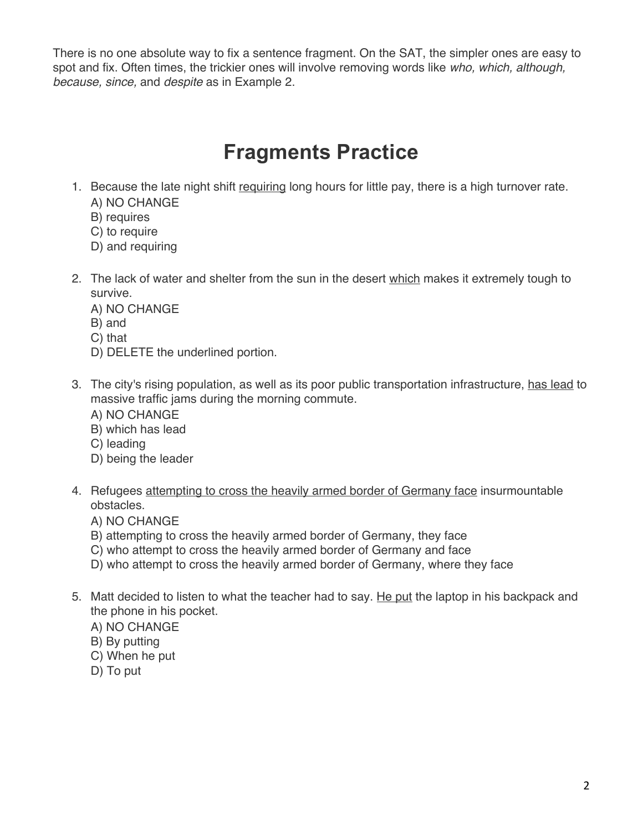There is no one absolute way to fix a sentence fragment. On the SAT, the simpler ones are easy to spot and fix. Often times, the trickier ones will involve removing words like *who, which, although, because, since,* and *despite* as in Example 2.

## **Fragments Practice**

- 1. Because the late night shift requiring long hours for little pay, there is a high turnover rate. A) NO CHANGE
	- B) requires
	- C) to require
	- D) and requiring
- 2. The lack of water and shelter from the sun in the desert which makes it extremely tough to survive.
	- A) NO CHANGE
	- B) and
	- C) that
	- D) DELETE the underlined portion.
- 3. The city's rising population, as well as its poor public transportation infrastructure, has lead to massive traffic jams during the morning commute.
	- A) NO CHANGE
	- B) which has lead
	- C) leading
	- D) being the leader
- 4. Refugees attempting to cross the heavily armed border of Germany face insurmountable obstacles.
	- A) NO CHANGE
	- B) attempting to cross the heavily armed border of Germany, they face
	- C) who attempt to cross the heavily armed border of Germany and face
	- D) who attempt to cross the heavily armed border of Germany, where they face
- 5. Matt decided to listen to what the teacher had to say. He put the laptop in his backpack and the phone in his pocket.
	- A) NO CHANGE
	- B) By putting
	- C) When he put
	- D) To put